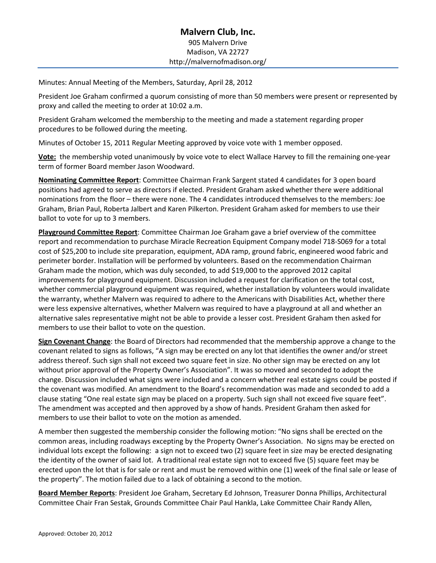# **Malvern Club, Inc.** 905 Malvern Drive Madison, VA 22727 http://malvernofmadison.org/

Minutes: Annual Meeting of the Members, Saturday, April 28, 2012

President Joe Graham confirmed a quorum consisting of more than 50 members were present or represented by proxy and called the meeting to order at 10:02 a.m.

President Graham welcomed the membership to the meeting and made a statement regarding proper procedures to be followed during the meeting.

Minutes of October 15, 2011 Regular Meeting approved by voice vote with 1 member opposed.

**Vote:** the membership voted unanimously by voice vote to elect Wallace Harvey to fill the remaining one-year term of former Board member Jason Woodward.

**Nominating Committee Report**: Committee Chairman Frank Sargent stated 4 candidates for 3 open board positions had agreed to serve as directors if elected. President Graham asked whether there were additional nominations from the floor – there were none. The 4 candidates introduced themselves to the members: Joe Graham, Brian Paul, Roberta Jalbert and Karen Pilkerton. President Graham asked for members to use their ballot to vote for up to 3 members.

**Playground Committee Report**: Committee Chairman Joe Graham gave a brief overview of the committee report and recommendation to purchase Miracle Recreation Equipment Company model 718-S069 for a total cost of \$25,200 to include site preparation, equipment, ADA ramp, ground fabric, engineered wood fabric and perimeter border. Installation will be performed by volunteers. Based on the recommendation Chairman Graham made the motion, which was duly seconded, to add \$19,000 to the approved 2012 capital improvements for playground equipment. Discussion included a request for clarification on the total cost, whether commercial playground equipment was required, whether installation by volunteers would invalidate the warranty, whether Malvern was required to adhere to the Americans with Disabilities Act, whether there were less expensive alternatives, whether Malvern was required to have a playground at all and whether an alternative sales representative might not be able to provide a lesser cost. President Graham then asked for members to use their ballot to vote on the question.

**Sign Covenant Change**: the Board of Directors had recommended that the membership approve a change to the covenant related to signs as follows, "A sign may be erected on any lot that identifies the owner and/or street address thereof. Such sign shall not exceed two square feet in size. No other sign may be erected on any lot without prior approval of the Property Owner's Association". It was so moved and seconded to adopt the change. Discussion included what signs were included and a concern whether real estate signs could be posted if the covenant was modified. An amendment to the Board's recommendation was made and seconded to add a clause stating "One real estate sign may be placed on a property. Such sign shall not exceed five square feet". The amendment was accepted and then approved by a show of hands. President Graham then asked for members to use their ballot to vote on the motion as amended.

A member then suggested the membership consider the following motion: "No signs shall be erected on the common areas, including roadways excepting by the Property Owner's Association. No signs may be erected on individual lots except the following: a sign not to exceed two (2) square feet in size may be erected designating the identity of the owner of said lot. A traditional real estate sign not to exceed five (5) square feet may be erected upon the lot that is for sale or rent and must be removed within one (1) week of the final sale or lease of the property". The motion failed due to a lack of obtaining a second to the motion.

**Board Member Reports**: President Joe Graham, Secretary Ed Johnson, Treasurer Donna Phillips, Architectural Committee Chair Fran Sestak, Grounds Committee Chair Paul Hankla, Lake Committee Chair Randy Allen,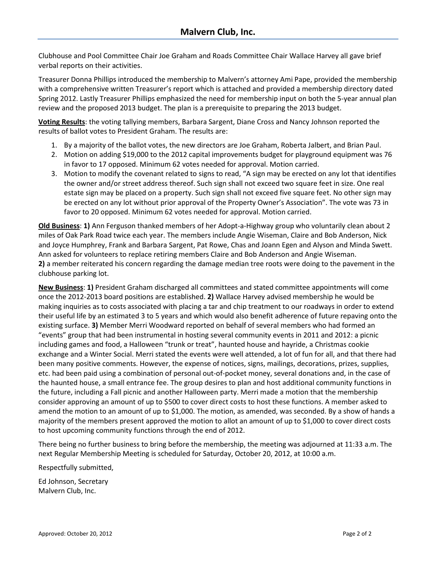Clubhouse and Pool Committee Chair Joe Graham and Roads Committee Chair Wallace Harvey all gave brief verbal reports on their activities.

Treasurer Donna Phillips introduced the membership to Malvern's attorney Ami Pape, provided the membership with a comprehensive written Treasurer's report which is attached and provided a membership directory dated Spring 2012. Lastly Treasurer Phillips emphasized the need for membership input on both the 5-year annual plan review and the proposed 2013 budget. The plan is a prerequisite to preparing the 2013 budget.

**Voting Results**: the voting tallying members, Barbara Sargent, Diane Cross and Nancy Johnson reported the results of ballot votes to President Graham. The results are:

- 1. By a majority of the ballot votes, the new directors are Joe Graham, Roberta Jalbert, and Brian Paul.
- 2. Motion on adding \$19,000 to the 2012 capital improvements budget for playground equipment was 76 in favor to 17 opposed. Minimum 62 votes needed for approval. Motion carried.
- 3. Motion to modify the covenant related to signs to read, "A sign may be erected on any lot that identifies the owner and/or street address thereof. Such sign shall not exceed two square feet in size. One real estate sign may be placed on a property. Such sign shall not exceed five square feet. No other sign may be erected on any lot without prior approval of the Property Owner's Association". The vote was 73 in favor to 20 opposed. Minimum 62 votes needed for approval. Motion carried.

**Old Business**: **1)** Ann Ferguson thanked members of her Adopt-a-Highway group who voluntarily clean about 2 miles of Oak Park Road twice each year. The members include Angie Wiseman, Claire and Bob Anderson, Nick and Joyce Humphrey, Frank and Barbara Sargent, Pat Rowe, Chas and Joann Egen and Alyson and Minda Swett. Ann asked for volunteers to replace retiring members Claire and Bob Anderson and Angie Wiseman. **2)** a member reiterated his concern regarding the damage median tree roots were doing to the pavement in the clubhouse parking lot.

**New Business**: **1)** President Graham discharged all committees and stated committee appointments will come once the 2012-2013 board positions are established. **2)** Wallace Harvey advised membership he would be making inquiries as to costs associated with placing a tar and chip treatment to our roadways in order to extend their useful life by an estimated 3 to 5 years and which would also benefit adherence of future repaving onto the existing surface. **3)** Member Merri Woodward reported on behalf of several members who had formed an "events" group that had been instrumental in hosting several community events in 2011 and 2012: a picnic including games and food, a Halloween "trunk or treat", haunted house and hayride, a Christmas cookie exchange and a Winter Social. Merri stated the events were well attended, a lot of fun for all, and that there had been many positive comments. However, the expense of notices, signs, mailings, decorations, prizes, supplies, etc. had been paid using a combination of personal out-of-pocket money, several donations and, in the case of the haunted house, a small entrance fee. The group desires to plan and host additional community functions in the future, including a Fall picnic and another Halloween party. Merri made a motion that the membership consider approving an amount of up to \$500 to cover direct costs to host these functions. A member asked to amend the motion to an amount of up to \$1,000. The motion, as amended, was seconded. By a show of hands a majority of the members present approved the motion to allot an amount of up to \$1,000 to cover direct costs to host upcoming community functions through the end of 2012.

There being no further business to bring before the membership, the meeting was adjourned at 11:33 a.m. The next Regular Membership Meeting is scheduled for Saturday, October 20, 2012, at 10:00 a.m.

Respectfully submitted,

Ed Johnson, Secretary Malvern Club, Inc.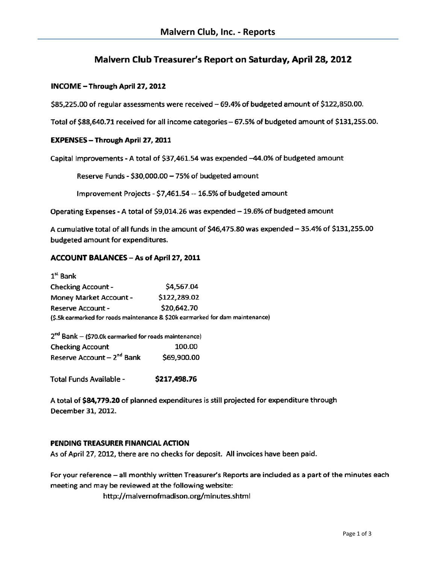# Malvern Club Treasurer's Report on Saturday, April 28, 2012

# INCOME - Through April 27, 2012

\$85,225.00 of regular assessments were received - 69.4% of budgeted amount of \$122,850.00.

Total of \$88,640.71 received for all income categories - 67.5% of budgeted amount of \$131,255.00.

### EXPENSES - Through April 27, 2011

Capital Improvements - A total of \$37,461.54 was expended -44.0% of budgeted amount

Reserve Funds - \$30,000.00 - 75% of budgeted amount

Improvement Projects - \$7,461.54 -- 16.5% of budgeted amount

Operating Expenses - A total of \$9,014.26 was expended - 19.6% of budgeted amount

A cumulative total of all funds in the amount of \$46,475.80 was expended - 35.4% of \$131,255.00 budgeted amount for expenditures.

### ACCOUNT BALANCES - As of April 27, 2011

| $1st$ Bank                                                                    |              |  |
|-------------------------------------------------------------------------------|--------------|--|
| <b>Checking Account -</b>                                                     | \$4,567.04   |  |
| <b>Money Market Account -</b>                                                 | \$122,289.02 |  |
| <b>Reserve Account -</b>                                                      | \$20,642.70  |  |
| (\$.5k earmarked for roads maintenance & \$20k earmarked for dam maintenance) |              |  |

| 2 <sup>nd</sup> Bank - (\$70.0k earmarked for roads maintenance) |             |
|------------------------------------------------------------------|-------------|
| <b>Checking Account</b>                                          | 100.00      |
| Reserve Account - 2 <sup>nd</sup> Bank                           | \$69,900.00 |

Total Funds Available -\$217,498.76

A total of \$84,779.20 of planned expenditures is still projected for expenditure through December 31, 2012.

## PENDING TREASURER FINANCIAL ACTION

As of April 27, 2012, there are no checks for deposit. All invoices have been paid.

For your reference - all monthly written Treasurer's Reports are included as a part of the minutes each meeting and may be reviewed at the following website:

http://malvernofmadison.org/minutes.shtml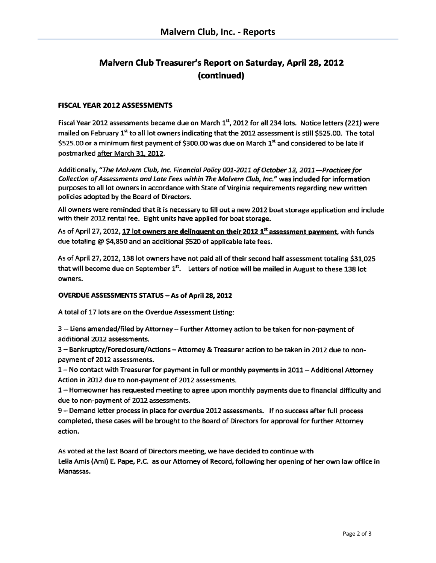# Malvern Club Treasurer's Report on Saturday, April 28, 2012 (continued)

## **FISCAL YEAR 2012 ASSESSMENTS**

Fiscal Year 2012 assessments became due on March 1st, 2012 for all 234 lots. Notice letters (221) were mailed on February 1<sup>st</sup> to all lot owners indicating that the 2012 assessment is still \$525.00. The total \$525.00 or a minimum first payment of \$300.00 was due on March 1st and considered to be late if postmarked after March 31, 2012.

Additionally, "The Malvern Club, Inc. Financial Policy 001-2011 of October 13, 2011—Practices for Collection of Assessments and Late Fees within The Malvern Club, Inc." was included for information purposes to all lot owners in accordance with State of Virginia requirements regarding new written policies adopted by the Board of Directors.

All owners were reminded that it is necessary to fill out a new 2012 boat storage application and include with their 2012 rental fee. Eight units have applied for boat storage.

As of April 27, 2012, 17 lot owners are delinguent on their 2012 1<sup>st</sup> assessment payment, with funds due totaling @ \$4,850 and an additional \$520 of applicable late fees.

As of April 27, 2012, 138 lot owners have not paid all of their second half assessment totaling \$31,025 that will become due on September 1<sup>st</sup>. Letters of notice will be mailed in August to these 138 lot owners.

### **OVERDUE ASSESSMENTS STATUS - As of April 28, 2012**

A total of 17 lots are on the Overdue Assessment Listing:

3 -- Liens amended/filed by Attorney -- Further Attorney action to be taken for non-payment of additional 2012 assessments.

3 - Bankruptcy/Foreclosure/Actions - Attorney & Treasurer action to be taken in 2012 due to nonpayment of 2012 assessments.

1 - No contact with Treasurer for payment in full or monthly payments in 2011 - Additional Attorney Action in 2012 due to non-payment of 2012 assessments.

1 - Homeowner has requested meeting to agree upon monthly payments due to financial difficulty and due to non-payment of 2012 assessments.

9 - Demand letter process in place for overdue 2012 assessments. If no success after full process completed, these cases will be brought to the Board of Directors for approval for further Attorney action.

As voted at the last Board of Directors meeting, we have decided to continue with Lella Amis (Ami) E. Pape, P.C. as our Attorney of Record, following her opening of her own law office in Manassas.